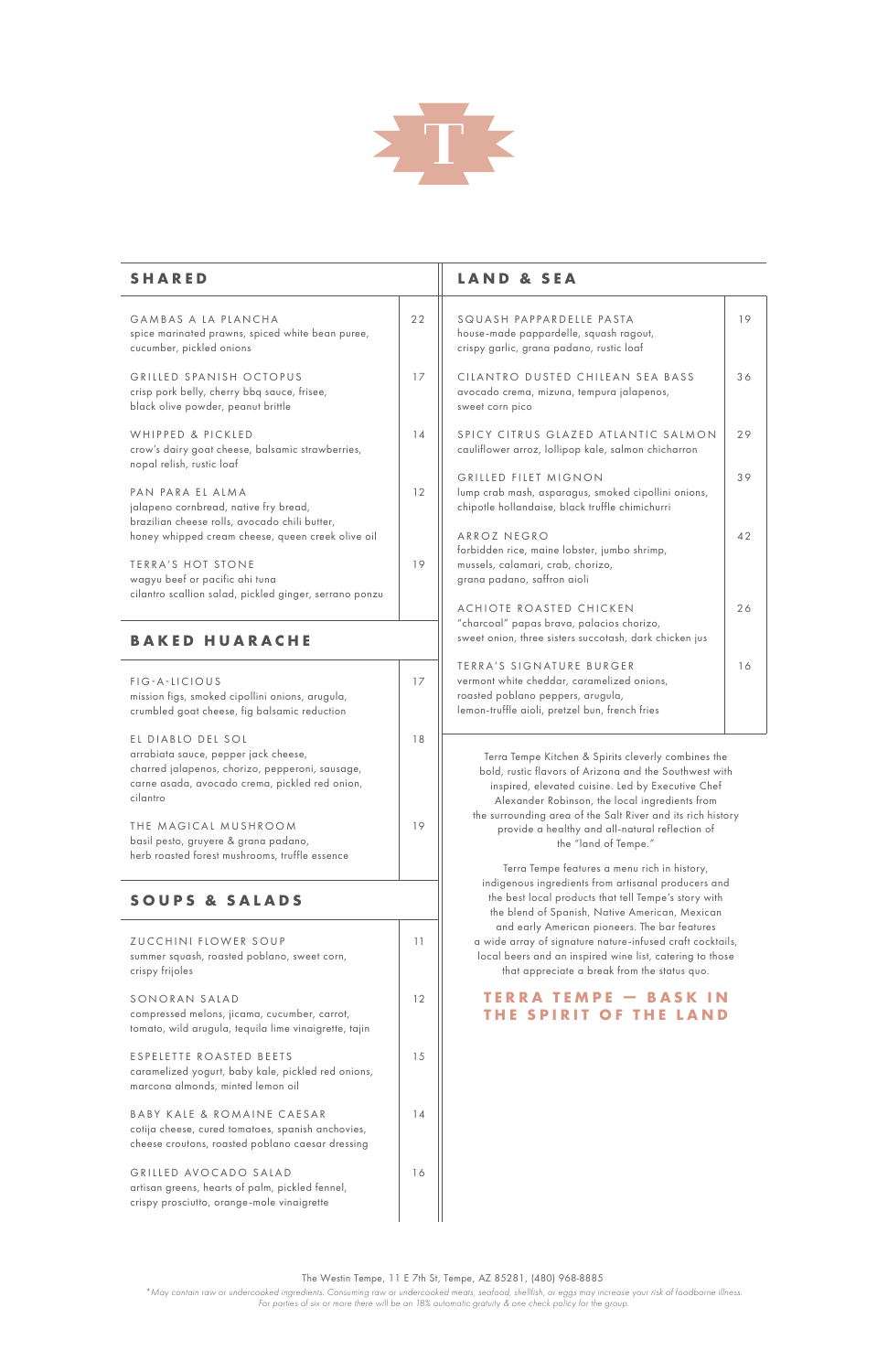E S P E L E T T E R O A S T E D B E E T S caramelized yogurt, baby kale, pickled red onions, marcona almonds, minted lemon oil

compressed melons, jicama, cucumber, carrot, tomato, wild arugula, tequila lime vinaigrette, tajin

BABY KALE & ROMAINE CAESAR cotija cheese, cured tomatoes, spanish anchovies, cheese croutons, roasted poblano caesar dressing

GRILLED AVOCADO SALAD artisan greens, hearts of palm, pickled fennel, crispy prosciutto, orange-mole vinaigrette

15

14



| <b>SHARED</b>                                                                                                                                                              |    | <b>LAND &amp; SEA</b>                                                                                                                                                                                                                                                               |  |
|----------------------------------------------------------------------------------------------------------------------------------------------------------------------------|----|-------------------------------------------------------------------------------------------------------------------------------------------------------------------------------------------------------------------------------------------------------------------------------------|--|
| GAMBAS A LA PLANCHA<br>spice marinated prawns, spiced white bean puree,<br>cucumber, pickled onions                                                                        | 22 | SQUASH PAPPARDELLE PASTA<br>house-made pappardelle, squash ragout,<br>crispy garlic, grana padano, rustic loaf                                                                                                                                                                      |  |
| GRILLED SPANISH OCTOPUS<br>crisp pork belly, cherry bbq sauce, frisee,<br>black olive powder, peanut brittle                                                               | 17 | CILANTRO DUSTED CHILEAN SEA BASS<br>avocado crema, mizuna, tempura jalapenos,<br>sweet corn pico                                                                                                                                                                                    |  |
| WHIPPED & PICKLED<br>crow's dairy goat cheese, balsamic strawberries,<br>nopal relish, rustic loaf                                                                         | 14 | SPICY CITRUS GLAZED ATLANTIC SALMON<br>cauliflower arroz, lollipop kale, salmon chicharron                                                                                                                                                                                          |  |
| PAN PARA EL ALMA<br>jalapeno cornbread, native fry bread,<br>brazilian cheese rolls, avocado chili butter,                                                                 | 12 | <b>GRILLED FILET MIGNON</b><br>lump crab mash, asparagus, smoked cipollini onions,<br>chipotle hollandaise, black truffle chimichurri                                                                                                                                               |  |
| honey whipped cream cheese, queen creek olive oil<br>TERRA'S HOT STONE                                                                                                     | 19 | ARROZ NEGRO<br>forbidden rice, maine lobster, jumbo shrimp,<br>mussels, calamari, crab, chorizo,                                                                                                                                                                                    |  |
| wagyu beef or pacific ahi tuna<br>cilantro scallion salad, pickled ginger, serrano ponzu                                                                                   |    | grana padano, saffron aioli<br>ACHIOTE ROASTED CHICKEN                                                                                                                                                                                                                              |  |
| <b>BAKED HUARACHE</b>                                                                                                                                                      |    | "charcoal" papas brava, palacios chorizo,<br>sweet onion, three sisters succotash, dark chicken jus                                                                                                                                                                                 |  |
| FIG-A-LICIOUS<br>mission figs, smoked cipollini onions, arugula,<br>crumbled goat cheese, fig balsamic reduction                                                           | 17 | TERRA'S SIGNATURE BURGER<br>vermont white cheddar, caramelized onions,<br>roasted poblano peppers, arugula,<br>lemon-truffle aioli, pretzel bun, french fries                                                                                                                       |  |
| EL DIABLO DEL SOL<br>arrabiata sauce, pepper jack cheese,<br>charred jalapenos, chorizo, pepperoni, sausage,<br>carne asada, avocado crema, pickled red onion,<br>cilantro | 18 | Terra Tempe Kitchen & Spirits cleverly combines the<br>bold, rustic flavors of Arizona and the Southwest with<br>inspired, elevated cuisine. Led by Executive Chef<br>Alexander Robinson, the local ingredients from<br>the surrounding area of the Salt River and its rich history |  |
| THE MAGICAL MUSHROOM<br>basil pesto, gruyere & grana padano,<br>herb roasted forest mushrooms, truffle essence                                                             | 19 | provide a healthy and all-natural reflection of<br>the "land of Tempe."                                                                                                                                                                                                             |  |
| <b>SOUPS &amp; SALADS</b>                                                                                                                                                  |    | Terra Tempe features a menu rich in history,<br>indigenous ingredients from artisanal producers and<br>the best local products that tell Tempe's story with<br>the blend of Spanish, Native American, Mexican                                                                       |  |
| ZUCCHINI FLOWER SOUP<br>summer squash, roasted poblano, sweet corn,<br>crispy frijoles                                                                                     | 11 | and early American pioneers. The bar features<br>a wide array of signature nature-infused craft cocktails,<br>local beers and an inspired wine list, catering to those<br>that appreciate a break from the status quo.                                                              |  |

## SONORAN SALAD

 $12$ 

16

**THE SPIRIT OF THE LAND** 

**TERRA TEMPE - BASK IN** 

## The Westin Tempe, 11 E 7th St, Tempe, AZ 85281, (480) 968-8885

*\*May contain raw or undercooked ingredients. Consuming raw or undercooked meats, seafood, shellfish, or eggs may increase your risk of foodborne illness. For parties of six or more there will be an 18% automatic gratuity & one check policy for the group.*